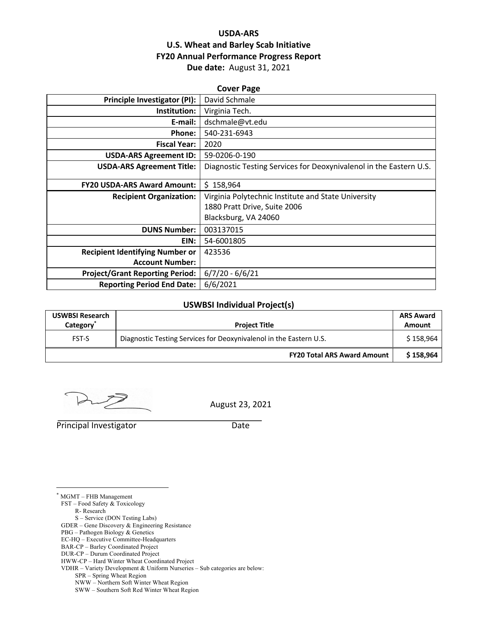## **USDA-ARS U.S. Wheat and Barley Scab Initiative FY20 Annual Performance Progress Report Due date:** August 31, 2021

| <b>Cover Page</b>                                                  |  |  |  |  |  |
|--------------------------------------------------------------------|--|--|--|--|--|
| David Schmale                                                      |  |  |  |  |  |
| Virginia Tech.                                                     |  |  |  |  |  |
| dschmale@vt.edu                                                    |  |  |  |  |  |
| 540-231-6943                                                       |  |  |  |  |  |
| 2020                                                               |  |  |  |  |  |
| 59-0206-0-190                                                      |  |  |  |  |  |
| Diagnostic Testing Services for Deoxynivalenol in the Eastern U.S. |  |  |  |  |  |
| \$158,964                                                          |  |  |  |  |  |
| Virginia Polytechnic Institute and State University                |  |  |  |  |  |
| 1880 Pratt Drive, Suite 2006                                       |  |  |  |  |  |
| Blacksburg, VA 24060                                               |  |  |  |  |  |
| 003137015                                                          |  |  |  |  |  |
| 54-6001805                                                         |  |  |  |  |  |
| 423536                                                             |  |  |  |  |  |
|                                                                    |  |  |  |  |  |
| $6/7/20 - 6/6/21$                                                  |  |  |  |  |  |
| 6/6/2021                                                           |  |  |  |  |  |
|                                                                    |  |  |  |  |  |

#### **USWBSI Individual Project(s)**

| <b>USWBSI Research</b><br>Category <sup>®</sup> | <b>Project Title</b>                                               |           |  |  |
|-------------------------------------------------|--------------------------------------------------------------------|-----------|--|--|
| <b>FST-S</b>                                    | Diagnostic Testing Services for Deoxynivalenol in the Eastern U.S. |           |  |  |
|                                                 | <b>FY20 Total ARS Award Amount</b>                                 | \$158,964 |  |  |

August 23, 2021

Principal Investigator Date

\* MGMT – FHB Management

FST – Food Safety & Toxicology R- Research

S – Service (DON Testing Labs)

- PBG Pathogen Biology & Genetics
- EC-HQ Executive Committee-Headquarters

DUR-CP – Durum Coordinated Project

SPR – Spring Wheat Region

GDER – Gene Discovery & Engineering Resistance

BAR-CP – Barley Coordinated Project

HWW-CP – Hard Winter Wheat Coordinated Project

VDHR – Variety Development & Uniform Nurseries – Sub categories are below:

NWW – Northern Soft Winter Wheat Region

SWW – Southern Soft Red Winter Wheat Region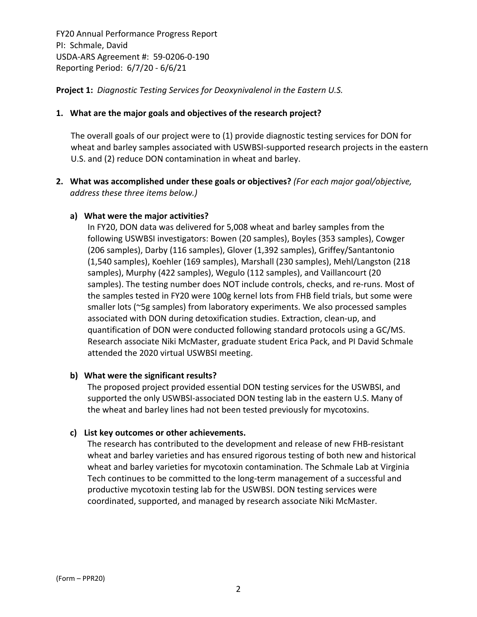**Project 1:** *Diagnostic Testing Services for Deoxynivalenol in the Eastern U.S.*

### **1. What are the major goals and objectives of the research project?**

The overall goals of our project were to (1) provide diagnostic testing services for DON for wheat and barley samples associated with USWBSI-supported research projects in the eastern U.S. and (2) reduce DON contamination in wheat and barley.

**2. What was accomplished under these goals or objectives?** *(For each major goal/objective, address these three items below.)*

### **a) What were the major activities?**

In FY20, DON data was delivered for 5,008 wheat and barley samples from the following USWBSI investigators: Bowen (20 samples), Boyles (353 samples), Cowger (206 samples), Darby (116 samples), Glover (1,392 samples), Griffey/Santantonio (1,540 samples), Koehler (169 samples), Marshall (230 samples), Mehl/Langston (218 samples), Murphy (422 samples), Wegulo (112 samples), and Vaillancourt (20 samples). The testing number does NOT include controls, checks, and re-runs. Most of the samples tested in FY20 were 100g kernel lots from FHB field trials, but some were smaller lots (~5g samples) from laboratory experiments. We also processed samples associated with DON during detoxification studies. Extraction, clean‐up, and quantification of DON were conducted following standard protocols using a GC/MS. Research associate Niki McMaster, graduate student Erica Pack, and PI David Schmale attended the 2020 virtual USWBSI meeting.

### **b) What were the significant results?**

The proposed project provided essential DON testing services for the USWBSI, and supported the only USWBSI-associated DON testing lab in the eastern U.S. Many of the wheat and barley lines had not been tested previously for mycotoxins.

### **c) List key outcomes or other achievements.**

The research has contributed to the development and release of new FHB‐resistant wheat and barley varieties and has ensured rigorous testing of both new and historical wheat and barley varieties for mycotoxin contamination. The Schmale Lab at Virginia Tech continues to be committed to the long‐term management of a successful and productive mycotoxin testing lab for the USWBSI. DON testing services were coordinated, supported, and managed by research associate Niki McMaster.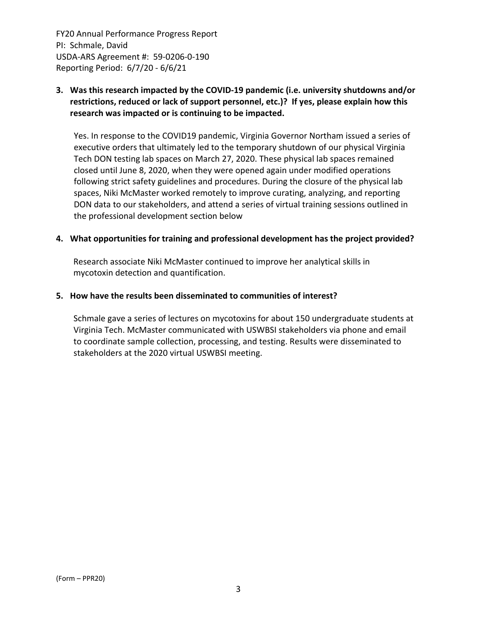## **3. Was this research impacted by the COVID‐19 pandemic (i.e. university shutdowns and/or restrictions, reduced or lack of support personnel, etc.)? If yes, please explain how this research was impacted or is continuing to be impacted.**

Yes. In response to the COVID19 pandemic, Virginia Governor Northam issued a series of executive orders that ultimately led to the temporary shutdown of our physical Virginia Tech DON testing lab spaces on March 27, 2020. These physical lab spaces remained closed until June 8, 2020, when they were opened again under modified operations following strict safety guidelines and procedures. During the closure of the physical lab spaces, Niki McMaster worked remotely to improve curating, analyzing, and reporting DON data to our stakeholders, and attend a series of virtual training sessions outlined in the professional development section below

### **4. What opportunities for training and professional development has the project provided?**

Research associate Niki McMaster continued to improve her analytical skills in mycotoxin detection and quantification.

#### **5. How have the results been disseminated to communities of interest?**

Schmale gave a series of lectures on mycotoxins for about 150 undergraduate students at Virginia Tech. McMaster communicated with USWBSI stakeholders via phone and email to coordinate sample collection, processing, and testing. Results were disseminated to stakeholders at the 2020 virtual USWBSI meeting.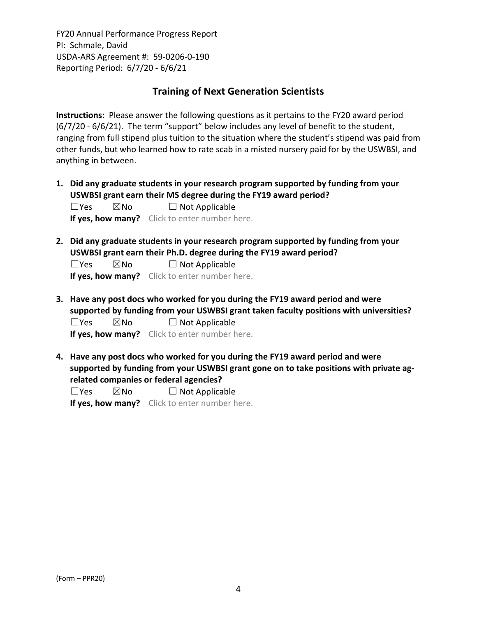## **Training of Next Generation Scientists**

**Instructions:** Please answer the following questions as it pertains to the FY20 award period (6/7/20 ‐ 6/6/21). The term "support" below includes any level of benefit to the student, ranging from full stipend plus tuition to the situation where the student's stipend was paid from other funds, but who learned how to rate scab in a misted nursery paid for by the USWBSI, and anything in between.

**1. Did any graduate students in your research program supported by funding from your USWBSI grant earn their MS degree during the FY19 award period?**  $\Box$ Yes  $\boxtimes$ No  $\Box$  Not Applicable

**If yes, how many?** Click to enter number here.

**2. Did any graduate students in your research program supported by funding from your USWBSI grant earn their Ph.D. degree during the FY19 award period?**

 $\Box$ Yes  $\boxtimes$ No  $\Box$  Not Applicable

**If yes, how many?** Click to enter number here.

**3. Have any post docs who worked for you during the FY19 award period and were supported by funding from your USWBSI grant taken faculty positions with universities?**  $\Box$ Yes  $\boxtimes$ No  $\Box$  Not Applicable

**If yes, how many?** Click to enter number here.

**4. Have any post docs who worked for you during the FY19 award period and were supported by funding from your USWBSI grant gone on to take positions with private ag‐ related companies or federal agencies?**

 $\square$ Yes  $\square$ No  $\square$  Not Applicable

**If yes, how many?** Click to enter number here.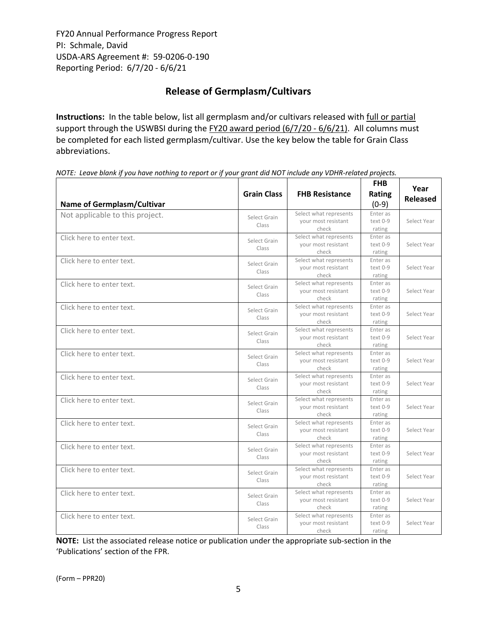# **Release of Germplasm/Cultivars**

**Instructions:** In the table below, list all germplasm and/or cultivars released with full or partial support through the USWBSI during the FY20 award period (6/7/20 - 6/6/21). All columns must be completed for each listed germplasm/cultivar. Use the key below the table for Grain Class abbreviations. 

NOTE: Leave blank if you have nothing to report or if your grant did NOT include any VDHR-related projects.

| <b>Grain Class</b><br><b>Name of Germplasm/Cultivar</b> |                                                                                 | <b>FHB Resistance</b>                                  | <b>FHB</b><br>Rating<br>$(0-9)$ | Year<br><b>Released</b> |  |
|---------------------------------------------------------|---------------------------------------------------------------------------------|--------------------------------------------------------|---------------------------------|-------------------------|--|
| Not applicable to this project.                         | Select Grain<br>Class                                                           | Select what represents<br>your most resistant<br>check |                                 | Select Year             |  |
| Click here to enter text.                               | Select what represents<br>Select Grain<br>your most resistant<br>Class<br>check |                                                        |                                 |                         |  |
| Click here to enter text.                               | Select Grain<br>Class                                                           | Select what represents<br>your most resistant<br>check | Enter as<br>text 0-9<br>rating  | Select Year             |  |
| Click here to enter text.                               | Select Grain<br>Class                                                           | Select what represents<br>your most resistant<br>check | Enter as<br>text 0-9<br>rating  | Select Year             |  |
| Click here to enter text.                               | Select Grain<br>Class                                                           | Select what represents<br>your most resistant<br>check | Enter as<br>text 0-9<br>rating  | Select Year             |  |
| Click here to enter text.                               | Select Grain<br>Class                                                           | Select what represents<br>your most resistant<br>check | Enter as<br>text 0-9<br>rating  | Select Year             |  |
| Click here to enter text.                               | Select Grain<br>Class                                                           | Select what represents<br>your most resistant<br>check | Enter as<br>text 0-9<br>rating  | Select Year             |  |
| Click here to enter text.                               | Select Grain<br>Class                                                           | Select what represents<br>your most resistant<br>check |                                 | Select Year             |  |
| Click here to enter text.                               | Select Grain<br>Class                                                           | Select what represents<br>your most resistant<br>check | Enter as<br>text 0-9<br>rating  | Select Year             |  |
| Click here to enter text.                               | Select Grain<br>Class                                                           | Select what represents<br>your most resistant<br>check | Enter as<br>text 0-9<br>rating  | Select Year             |  |
| Click here to enter text.                               | Select Grain<br>Class                                                           | Select what represents<br>your most resistant<br>check | Enter as<br>text 0-9<br>rating  | Select Year             |  |
| Click here to enter text.                               | Select Grain<br>Class                                                           | Select what represents<br>your most resistant<br>check | Enter as<br>text 0-9<br>rating  | Select Year             |  |
| Click here to enter text.                               | Select Grain<br>Class                                                           | Select what represents<br>your most resistant<br>check | Enter as<br>text 0-9<br>rating  | Select Year             |  |
| Click here to enter text.                               | Select Grain<br>Class                                                           | Select what represents<br>your most resistant<br>check | Enter as<br>text 0-9<br>rating  | Select Year             |  |

**NOTE:** List the associated release notice or publication under the appropriate sub-section in the 'Publications' section of the FPR.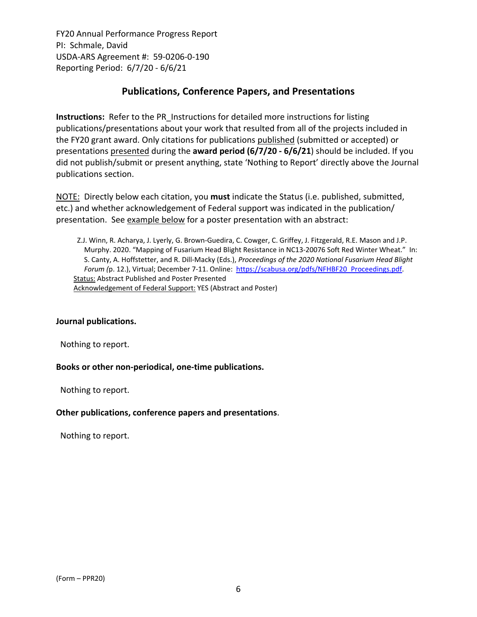## **Publications, Conference Papers, and Presentations**

**Instructions:** Refer to the PR\_Instructions for detailed more instructions for listing publications/presentations about your work that resulted from all of the projects included in the FY20 grant award. Only citations for publications published (submitted or accepted) or presentations presented during the **award period (6/7/20 ‐ 6/6/21**) should be included. If you did not publish/submit or present anything, state 'Nothing to Report' directly above the Journal publications section.

NOTE: Directly below each citation, you **must** indicate the Status (i.e. published, submitted, etc.) and whether acknowledgement of Federal support was indicated in the publication/ presentation. See example below for a poster presentation with an abstract:

Z.J. Winn, R. Acharya, J. Lyerly, G. Brown‐Guedira, C. Cowger, C. Griffey, J. Fitzgerald, R.E. Mason and J.P. Murphy. 2020. "Mapping of Fusarium Head Blight Resistance in NC13‐20076 Soft Red Winter Wheat." In: S. Canty, A. Hoffstetter, and R. Dill‐Macky (Eds.), *Proceedings of the 2020 National Fusarium Head Blight Forum (*p. 12.), Virtual; December 7‐11. Online: https://scabusa.org/pdfs/NFHBF20\_Proceedings.pdf. Status: Abstract Published and Poster Presented Acknowledgement of Federal Support: YES (Abstract and Poster)

### **Journal publications.**

Nothing to report.

### **Books or other non‐periodical, one‐time publications.**

Nothing to report.

### **Other publications, conference papers and presentations**.

Nothing to report.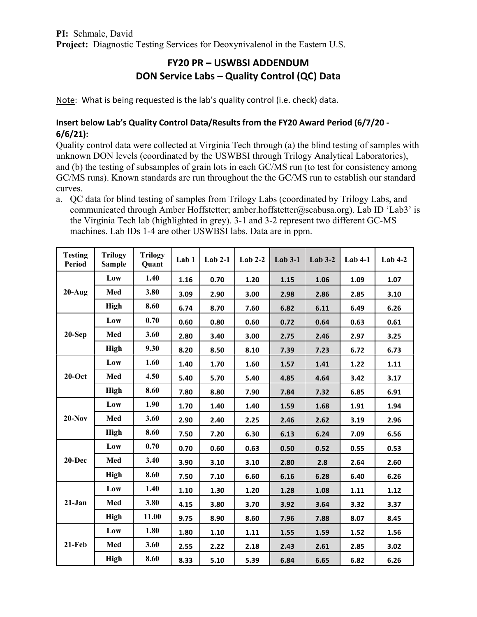# **FY20 PR – USWBSI ADDENDUM DON Service Labs – Quality Control (QC) Data**

Note: What is being requested is the lab's quality control (i.e. check) data.

## **Insert below Lab's Quality Control Data/Results from the FY20 Award Period (6/7/20 ‐ 6/6/21):**

Quality control data were collected at Virginia Tech through (a) the blind testing of samples with unknown DON levels (coordinated by the USWBSI through Trilogy Analytical Laboratories), and (b) the testing of subsamples of grain lots in each GC/MS run (to test for consistency among GC/MS runs). Known standards are run throughout the the GC/MS run to establish our standard curves.

a. QC data for blind testing of samples from Trilogy Labs (coordinated by Trilogy Labs, and communicated through Amber Hoffstetter; amber.hoffstetter@scabusa.org). Lab ID 'Lab3' is the Virginia Tech lab (highlighted in grey). 3-1 and 3-2 represent two different GC-MS machines. Lab IDs 1-4 are other USWBSI labs. Data are in ppm.

| <b>Testing</b><br><b>Period</b> | <b>Trilogy</b><br><b>Sample</b> | <b>Trilogy</b><br>Quant | Lab <sub>1</sub> | $Lab 2-1$ | Lab $2-2$ | $Lab 3-1$ | $Lab 3-2$ | $Lab 4-1$ | $Lab 4-2$ |
|---------------------------------|---------------------------------|-------------------------|------------------|-----------|-----------|-----------|-----------|-----------|-----------|
| $20-Aug$                        | Low                             | 1.40                    | 1.16             | 0.70      | 1.20      | 1.15      | 1.06      | 1.09      | 1.07      |
|                                 | Med                             | 3.80                    | 3.09             | 2.90      | 3.00      | 2.98      | 2.86      | 2.85      | 3.10      |
|                                 | <b>High</b>                     | 8.60                    | 6.74             | 8.70      | 7.60      | 6.82      | 6.11      | 6.49      | 6.26      |
|                                 | Low                             | 0.70                    | 0.60             | 0.80      | 0.60      | 0.72      | 0.64      | 0.63      | 0.61      |
| $20-Sep$                        | Med                             | 3.60                    | 2.80             | 3.40      | 3.00      | 2.75      | 2.46      | 2.97      | 3.25      |
|                                 | <b>High</b>                     | 9.30                    | 8.20             | 8.50      | 8.10      | 7.39      | 7.23      | 6.72      | 6.73      |
|                                 | Low                             | 1.60                    | 1.40             | 1.70      | 1.60      | 1.57      | 1.41      | 1.22      | 1.11      |
| $20$ -Oct                       | Med                             | 4.50                    | 5.40             | 5.70      | 5.40      | 4.85      | 4.64      | 3.42      | 3.17      |
|                                 | <b>High</b>                     | 8.60                    | 7.80             | 8.80      | 7.90      | 7.84      | 7.32      | 6.85      | 6.91      |
|                                 | Low                             | 1.90                    | 1.70             | 1.40      | 1.40      | 1.59      | 1.68      | 1.91      | 1.94      |
| $20-Nov$                        | Med                             | 3.60                    | 2.90             | 2.40      | 2.25      | 2.46      | 2.62      | 3.19      | 2.96      |
|                                 | <b>High</b>                     | 8.60                    | 7.50             | 7.20      | 6.30      | 6.13      | 6.24      | 7.09      | 6.56      |
| $20-Dec$                        | Low                             | 0.70                    | 0.70             | 0.60      | 0.63      | 0.50      | 0.52      | 0.55      | 0.53      |
|                                 | Med                             | 3.40                    | 3.90             | 3.10      | 3.10      | 2.80      | 2.8       | 2.64      | 2.60      |
|                                 | <b>High</b>                     | 8.60                    | 7.50             | 7.10      | 6.60      | 6.16      | 6.28      | 6.40      | 6.26      |
|                                 | Low                             | 1.40                    | 1.10             | 1.30      | 1.20      | 1.28      | 1.08      | 1.11      | 1.12      |
| $21-Jan$                        | Med                             | 3.80                    | 4.15             | 3.80      | 3.70      | 3.92      | 3.64      | 3.32      | 3.37      |
|                                 | <b>High</b>                     | 11.00                   | 9.75             | 8.90      | 8.60      | 7.96      | 7.88      | 8.07      | 8.45      |
| $21-Feb$                        | Low                             | 1.80                    | 1.80             | 1.10      | 1.11      | 1.55      | 1.59      | 1.52      | 1.56      |
|                                 | Med                             | 3.60                    | 2.55             | 2.22      | 2.18      | 2.43      | 2.61      | 2.85      | 3.02      |
|                                 | <b>High</b>                     | 8.60                    | 8.33             | 5.10      | 5.39      | 6.84      | 6.65      | 6.82      | 6.26      |